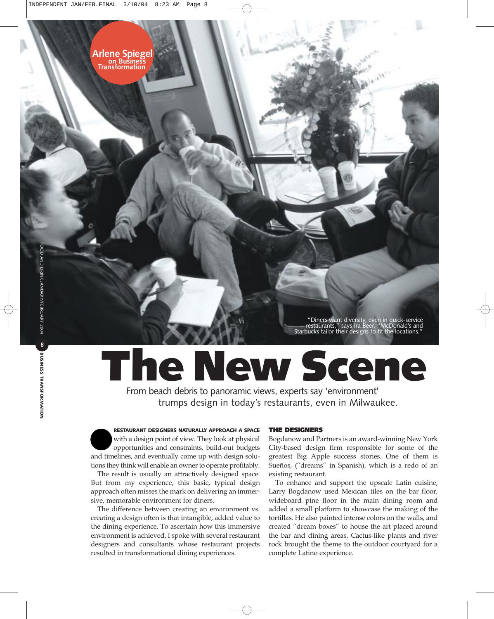"Diners want diversity, even in quick-service restaurants," says Ira Beer. "McDonald's and Starbucks tailor their designs to fit the locations."

## **The New Scene**

From beach debris to panoramic views, experts say 'environment' trumps design in today's restaurants, even in Milwaukee.

**RESTAURANT DESIGNERS NATURALLY APPROACH A SPACE** with a design point of view. They look at physical opportunities and constraints, build-out budgets and timelines, and eventually come up with design solu-

tions they think will enable an owner to operate profitably. The result is usually an attractively designed space. But from my experience, this basic, typical design approach often misses the mark on delivering an immersive, memorable environment for diners.

The difference between creating an environment vs. creating a design often is that intangible, added value to the dining experience. To ascertain how this immersive environment is achieved, I spoke with several restaurant designers and consultants whose restaurant projects resulted in transformational dining experiences.

## **THE DESIGNERS**

Bogdanow and Partners is an award-winning New York City-based design firm responsible for some of the greatest Big Apple success stories. One of them is Sueños, ("dreams" in Spanish), which is a redo of an existing restaurant.

To enhance and support the upscale Latin cuisine, Larry Bogdanow used Mexican tiles on the bar floor, wideboard pine floor in the main dining room and added a small platform to showcase the making of the tortillas. He also painted intense colors on the walls, and created "dream boxes" to house the art placed around the bar and dining areas. Cactus-like plants and river rock brought the theme to the outdoor courtyard for a complete Latino experience.